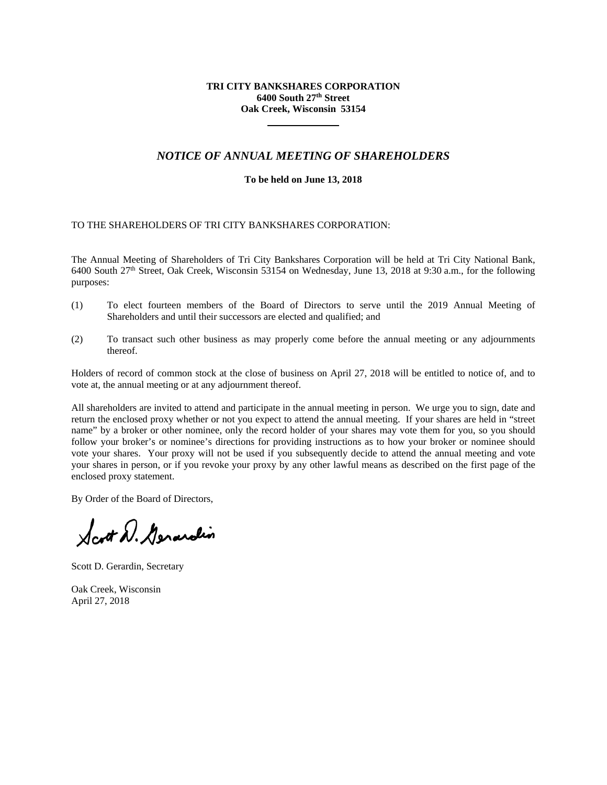# **TRI CITY BANKSHARES CORPORATION 6400 South 27th Street Oak Creek, Wisconsin 53154**

# *NOTICE OF ANNUAL MEETING OF SHAREHOLDERS*

# **To be held on June 13, 2018**

# TO THE SHAREHOLDERS OF TRI CITY BANKSHARES CORPORATION:

The Annual Meeting of Shareholders of Tri City Bankshares Corporation will be held at Tri City National Bank, 6400 South 27th Street, Oak Creek, Wisconsin 53154 on Wednesday, June 13, 2018 at 9:30 a.m., for the following purposes:

- (1) To elect fourteen members of the Board of Directors to serve until the 2019 Annual Meeting of Shareholders and until their successors are elected and qualified; and
- (2) To transact such other business as may properly come before the annual meeting or any adjournments thereof.

Holders of record of common stock at the close of business on April 27, 2018 will be entitled to notice of, and to vote at, the annual meeting or at any adjournment thereof.

All shareholders are invited to attend and participate in the annual meeting in person. We urge you to sign, date and return the enclosed proxy whether or not you expect to attend the annual meeting. If your shares are held in "street name" by a broker or other nominee, only the record holder of your shares may vote them for you, so you should follow your broker's or nominee's directions for providing instructions as to how your broker or nominee should vote your shares. Your proxy will not be used if you subsequently decide to attend the annual meeting and vote your shares in person, or if you revoke your proxy by any other lawful means as described on the first page of the enclosed proxy statement.

By Order of the Board of Directors,

Scott D. Gerardin

Scott D. Gerardin, Secretary

Oak Creek, Wisconsin April 27, 2018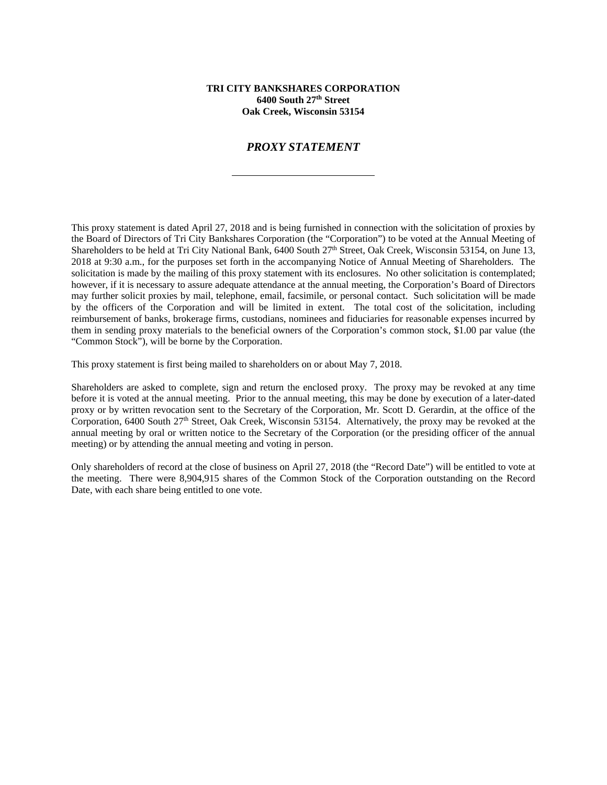## **TRI CITY BANKSHARES CORPORATION 6400 South 27th Street Oak Creek, Wisconsin 53154**

# *PROXY STATEMENT*

This proxy statement is dated April 27, 2018 and is being furnished in connection with the solicitation of proxies by the Board of Directors of Tri City Bankshares Corporation (the "Corporation") to be voted at the Annual Meeting of Shareholders to be held at Tri City National Bank, 6400 South 27<sup>th</sup> Street, Oak Creek, Wisconsin 53154, on June 13, 2018 at 9:30 a.m., for the purposes set forth in the accompanying Notice of Annual Meeting of Shareholders. The solicitation is made by the mailing of this proxy statement with its enclosures. No other solicitation is contemplated; however, if it is necessary to assure adequate attendance at the annual meeting, the Corporation's Board of Directors may further solicit proxies by mail, telephone, email, facsimile, or personal contact. Such solicitation will be made by the officers of the Corporation and will be limited in extent. The total cost of the solicitation, including reimbursement of banks, brokerage firms, custodians, nominees and fiduciaries for reasonable expenses incurred by them in sending proxy materials to the beneficial owners of the Corporation's common stock, \$1.00 par value (the "Common Stock"), will be borne by the Corporation.

This proxy statement is first being mailed to shareholders on or about May 7, 2018.

Shareholders are asked to complete, sign and return the enclosed proxy. The proxy may be revoked at any time before it is voted at the annual meeting. Prior to the annual meeting, this may be done by execution of a later-dated proxy or by written revocation sent to the Secretary of the Corporation, Mr. Scott D. Gerardin, at the office of the Corporation, 6400 South 27<sup>th</sup> Street, Oak Creek, Wisconsin 53154. Alternatively, the proxy may be revoked at the annual meeting by oral or written notice to the Secretary of the Corporation (or the presiding officer of the annual meeting) or by attending the annual meeting and voting in person.

Only shareholders of record at the close of business on April 27, 2018 (the "Record Date") will be entitled to vote at the meeting. There were 8,904,915 shares of the Common Stock of the Corporation outstanding on the Record Date, with each share being entitled to one vote.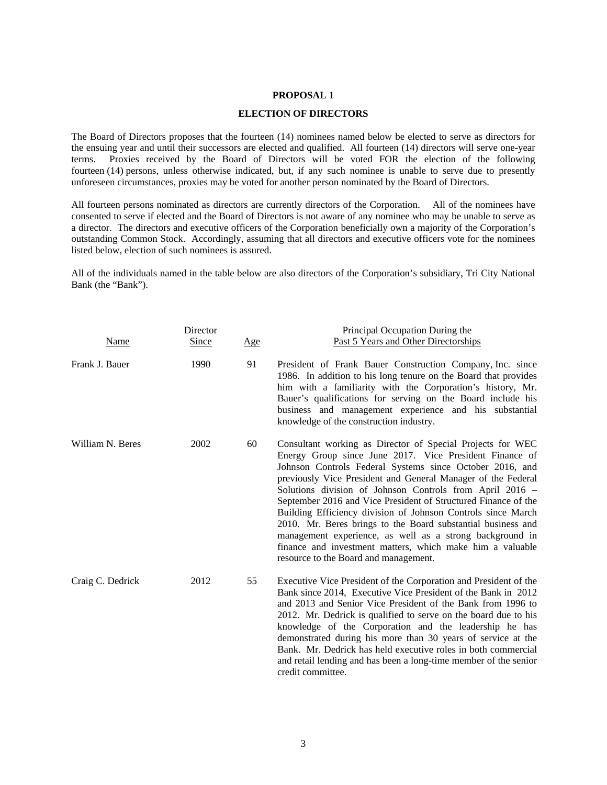## **PROPOSAL 1**

### **ELECTION OF DIRECTORS**

The Board of Directors proposes that the fourteen (14) nominees named below be elected to serve as directors for the ensuing year and until their successors are elected and qualified. All fourteen (14) directors will serve one-year terms. Proxies received by the Board of Directors will be voted FOR the election of the following fourteen (14) persons, unless otherwise indicated, but, if any such nominee is unable to serve due to presently unforeseen circumstances, proxies may be voted for another person nominated by the Board of Directors.

All fourteen persons nominated as directors are currently directors of the Corporation. All of the nominees have consented to serve if elected and the Board of Directors is not aware of any nominee who may be unable to serve as a director. The directors and executive officers of the Corporation beneficially own a majority of the Corporation's outstanding Common Stock. Accordingly, assuming that all directors and executive officers vote for the nominees listed below, election of such nominees is assured.

All of the individuals named in the table below are also directors of the Corporation's subsidiary, Tri City National Bank (the "Bank").

| Name             | Director<br><b>Since</b> | <u>Age</u> | Principal Occupation During the<br>Past 5 Years and Other Directorships                                                                                                                                                                                                                                                                                                                                                                                                                                                                                                                                                                                                           |
|------------------|--------------------------|------------|-----------------------------------------------------------------------------------------------------------------------------------------------------------------------------------------------------------------------------------------------------------------------------------------------------------------------------------------------------------------------------------------------------------------------------------------------------------------------------------------------------------------------------------------------------------------------------------------------------------------------------------------------------------------------------------|
| Frank J. Bauer   | 1990                     | 91         | President of Frank Bauer Construction Company, Inc. since<br>1986. In addition to his long tenure on the Board that provides<br>him with a familiarity with the Corporation's history, Mr.<br>Bauer's qualifications for serving on the Board include his<br>business and management experience and his substantial<br>knowledge of the construction industry.                                                                                                                                                                                                                                                                                                                    |
| William N. Beres | 2002                     | 60         | Consultant working as Director of Special Projects for WEC<br>Energy Group since June 2017. Vice President Finance of<br>Johnson Controls Federal Systems since October 2016, and<br>previously Vice President and General Manager of the Federal<br>Solutions division of Johnson Controls from April 2016 -<br>September 2016 and Vice President of Structured Finance of the<br>Building Efficiency division of Johnson Controls since March<br>2010. Mr. Beres brings to the Board substantial business and<br>management experience, as well as a strong background in<br>finance and investment matters, which make him a valuable<br>resource to the Board and management. |
| Craig C. Dedrick | 2012                     | 55         | Executive Vice President of the Corporation and President of the<br>Bank since 2014, Executive Vice President of the Bank in 2012<br>and 2013 and Senior Vice President of the Bank from 1996 to<br>2012. Mr. Dedrick is qualified to serve on the board due to his<br>knowledge of the Corporation and the leadership he has<br>demonstrated during his more than 30 years of service at the<br>Bank. Mr. Dedrick has held executive roles in both commercial<br>and retail lending and has been a long-time member of the senior<br>credit committee.                                                                                                                           |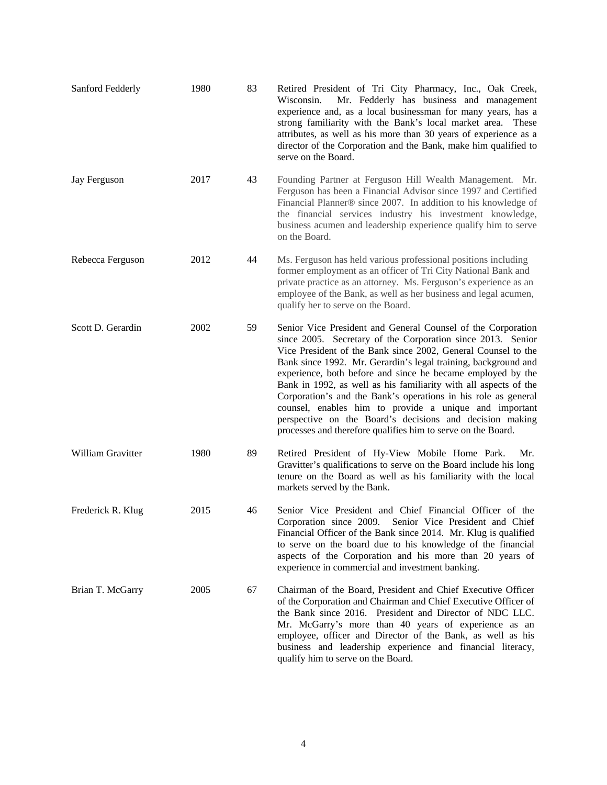| Sanford Fedderly  | 1980 | 83 | Retired President of Tri City Pharmacy, Inc., Oak Creek,<br>Wisconsin.<br>Mr. Fedderly has business and management<br>experience and, as a local businessman for many years, has a<br>strong familiarity with the Bank's local market area.<br>These<br>attributes, as well as his more than 30 years of experience as a<br>director of the Corporation and the Bank, make him qualified to<br>serve on the Board.                                                                                                                                                                                                                                        |
|-------------------|------|----|-----------------------------------------------------------------------------------------------------------------------------------------------------------------------------------------------------------------------------------------------------------------------------------------------------------------------------------------------------------------------------------------------------------------------------------------------------------------------------------------------------------------------------------------------------------------------------------------------------------------------------------------------------------|
| Jay Ferguson      | 2017 | 43 | Founding Partner at Ferguson Hill Wealth Management. Mr.<br>Ferguson has been a Financial Advisor since 1997 and Certified<br>Financial Planner® since 2007. In addition to his knowledge of<br>the financial services industry his investment knowledge,<br>business acumen and leadership experience qualify him to serve<br>on the Board.                                                                                                                                                                                                                                                                                                              |
| Rebecca Ferguson  | 2012 | 44 | Ms. Ferguson has held various professional positions including<br>former employment as an officer of Tri City National Bank and<br>private practice as an attorney. Ms. Ferguson's experience as an<br>employee of the Bank, as well as her business and legal acumen,<br>qualify her to serve on the Board.                                                                                                                                                                                                                                                                                                                                              |
| Scott D. Gerardin | 2002 | 59 | Senior Vice President and General Counsel of the Corporation<br>since 2005. Secretary of the Corporation since 2013. Senior<br>Vice President of the Bank since 2002, General Counsel to the<br>Bank since 1992. Mr. Gerardin's legal training, background and<br>experience, both before and since he became employed by the<br>Bank in 1992, as well as his familiarity with all aspects of the<br>Corporation's and the Bank's operations in his role as general<br>counsel, enables him to provide a unique and important<br>perspective on the Board's decisions and decision making<br>processes and therefore qualifies him to serve on the Board. |
| William Gravitter | 1980 | 89 | Retired President of Hy-View Mobile Home Park.<br>Mr.<br>Gravitter's qualifications to serve on the Board include his long<br>tenure on the Board as well as his familiarity with the local<br>markets served by the Bank.                                                                                                                                                                                                                                                                                                                                                                                                                                |
| Frederick R. Klug | 2015 | 46 | Senior Vice President and Chief Financial Officer of the<br>Corporation since 2009.<br>Senior Vice President and Chief<br>Financial Officer of the Bank since 2014. Mr. Klug is qualified<br>to serve on the board due to his knowledge of the financial<br>aspects of the Corporation and his more than 20 years of<br>experience in commercial and investment banking.                                                                                                                                                                                                                                                                                  |
| Brian T. McGarry  | 2005 | 67 | Chairman of the Board, President and Chief Executive Officer<br>of the Corporation and Chairman and Chief Executive Officer of<br>the Bank since 2016. President and Director of NDC LLC.<br>Mr. McGarry's more than 40 years of experience as an<br>employee, officer and Director of the Bank, as well as his<br>business and leadership experience and financial literacy,<br>qualify him to serve on the Board.                                                                                                                                                                                                                                       |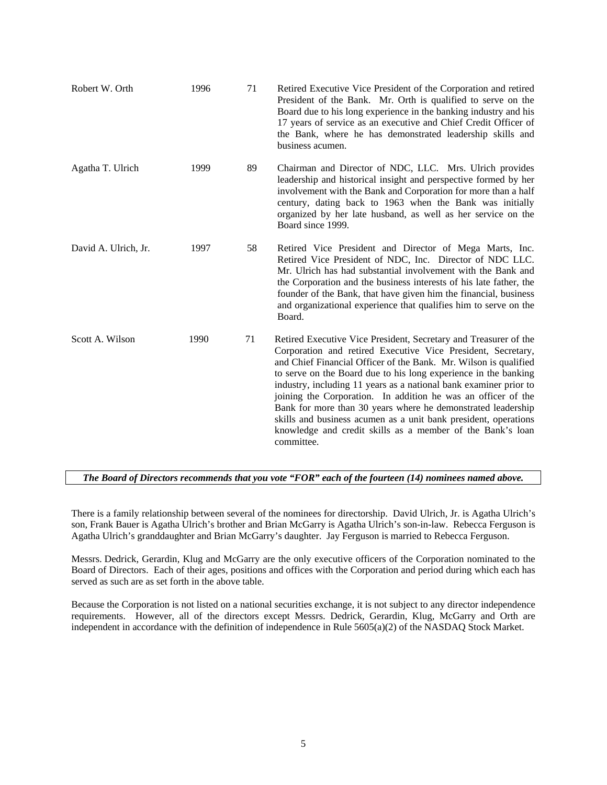| Robert W. Orth       | 1996 | 71 | Retired Executive Vice President of the Corporation and retired<br>President of the Bank. Mr. Orth is qualified to serve on the<br>Board due to his long experience in the banking industry and his<br>17 years of service as an executive and Chief Credit Officer of<br>the Bank, where he has demonstrated leadership skills and<br>business acumen.                                                                                                                                                                                                                                                                      |
|----------------------|------|----|------------------------------------------------------------------------------------------------------------------------------------------------------------------------------------------------------------------------------------------------------------------------------------------------------------------------------------------------------------------------------------------------------------------------------------------------------------------------------------------------------------------------------------------------------------------------------------------------------------------------------|
| Agatha T. Ulrich     | 1999 | 89 | Chairman and Director of NDC, LLC. Mrs. Ulrich provides<br>leadership and historical insight and perspective formed by her<br>involvement with the Bank and Corporation for more than a half<br>century, dating back to 1963 when the Bank was initially<br>organized by her late husband, as well as her service on the<br>Board since 1999.                                                                                                                                                                                                                                                                                |
| David A. Ulrich, Jr. | 1997 | 58 | Retired Vice President and Director of Mega Marts, Inc.<br>Retired Vice President of NDC, Inc. Director of NDC LLC.<br>Mr. Ulrich has had substantial involvement with the Bank and<br>the Corporation and the business interests of his late father, the<br>founder of the Bank, that have given him the financial, business<br>and organizational experience that qualifies him to serve on the<br>Board.                                                                                                                                                                                                                  |
| Scott A. Wilson      | 1990 | 71 | Retired Executive Vice President, Secretary and Treasurer of the<br>Corporation and retired Executive Vice President, Secretary,<br>and Chief Financial Officer of the Bank. Mr. Wilson is qualified<br>to serve on the Board due to his long experience in the banking<br>industry, including 11 years as a national bank examiner prior to<br>joining the Corporation. In addition he was an officer of the<br>Bank for more than 30 years where he demonstrated leadership<br>skills and business acumen as a unit bank president, operations<br>knowledge and credit skills as a member of the Bank's loan<br>committee. |

*The Board of Directors recommends that you vote "FOR" each of the fourteen (14) nominees named above.*

There is a family relationship between several of the nominees for directorship. David Ulrich, Jr. is Agatha Ulrich's son, Frank Bauer is Agatha Ulrich's brother and Brian McGarry is Agatha Ulrich's son-in-law. Rebecca Ferguson is Agatha Ulrich's granddaughter and Brian McGarry's daughter. Jay Ferguson is married to Rebecca Ferguson.

Messrs. Dedrick, Gerardin, Klug and McGarry are the only executive officers of the Corporation nominated to the Board of Directors. Each of their ages, positions and offices with the Corporation and period during which each has served as such are as set forth in the above table.

Because the Corporation is not listed on a national securities exchange, it is not subject to any director independence requirements. However, all of the directors except Messrs. Dedrick, Gerardin, Klug, McGarry and Orth are independent in accordance with the definition of independence in Rule 5605(a)(2) of the NASDAQ Stock Market.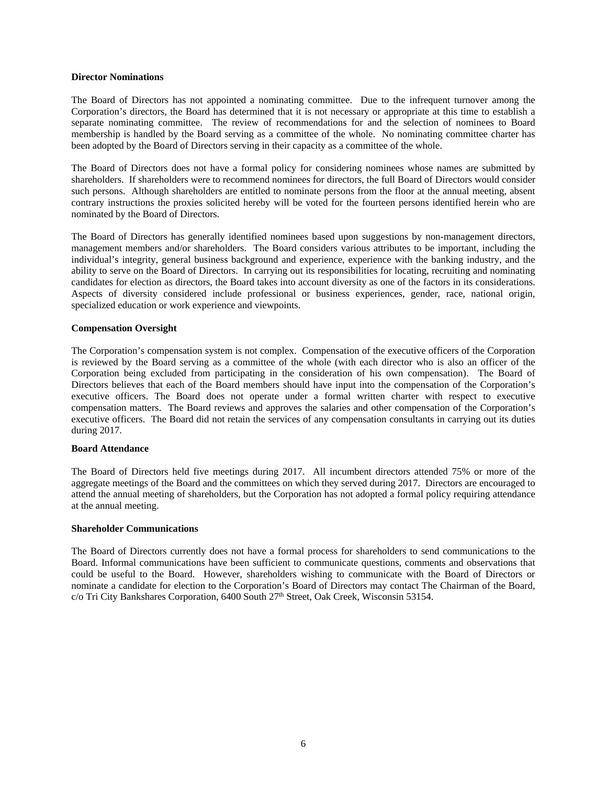### **Director Nominations**

The Board of Directors has not appointed a nominating committee. Due to the infrequent turnover among the Corporation's directors, the Board has determined that it is not necessary or appropriate at this time to establish a separate nominating committee. The review of recommendations for and the selection of nominees to Board membership is handled by the Board serving as a committee of the whole. No nominating committee charter has been adopted by the Board of Directors serving in their capacity as a committee of the whole.

The Board of Directors does not have a formal policy for considering nominees whose names are submitted by shareholders. If shareholders were to recommend nominees for directors, the full Board of Directors would consider such persons. Although shareholders are entitled to nominate persons from the floor at the annual meeting, absent contrary instructions the proxies solicited hereby will be voted for the fourteen persons identified herein who are nominated by the Board of Directors.

The Board of Directors has generally identified nominees based upon suggestions by non-management directors, management members and/or shareholders. The Board considers various attributes to be important, including the individual's integrity, general business background and experience, experience with the banking industry, and the ability to serve on the Board of Directors. In carrying out its responsibilities for locating, recruiting and nominating candidates for election as directors, the Board takes into account diversity as one of the factors in its considerations. Aspects of diversity considered include professional or business experiences, gender, race, national origin, specialized education or work experience and viewpoints.

## **Compensation Oversight**

The Corporation's compensation system is not complex. Compensation of the executive officers of the Corporation is reviewed by the Board serving as a committee of the whole (with each director who is also an officer of the Corporation being excluded from participating in the consideration of his own compensation). The Board of Directors believes that each of the Board members should have input into the compensation of the Corporation's executive officers. The Board does not operate under a formal written charter with respect to executive compensation matters. The Board reviews and approves the salaries and other compensation of the Corporation's executive officers. The Board did not retain the services of any compensation consultants in carrying out its duties during 2017.

# **Board Attendance**

The Board of Directors held five meetings during 2017. All incumbent directors attended 75% or more of the aggregate meetings of the Board and the committees on which they served during 2017. Directors are encouraged to attend the annual meeting of shareholders, but the Corporation has not adopted a formal policy requiring attendance at the annual meeting.

## **Shareholder Communications**

The Board of Directors currently does not have a formal process for shareholders to send communications to the Board. Informal communications have been sufficient to communicate questions, comments and observations that could be useful to the Board. However, shareholders wishing to communicate with the Board of Directors or nominate a candidate for election to the Corporation's Board of Directors may contact The Chairman of the Board, c/o Tri City Bankshares Corporation, 6400 South 27th Street, Oak Creek, Wisconsin 53154.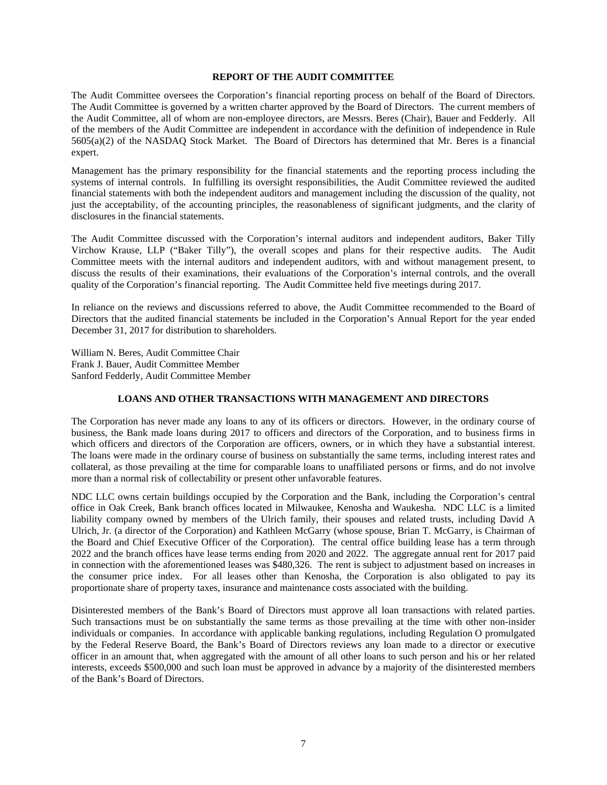### **REPORT OF THE AUDIT COMMITTEE**

The Audit Committee oversees the Corporation's financial reporting process on behalf of the Board of Directors. The Audit Committee is governed by a written charter approved by the Board of Directors. The current members of the Audit Committee, all of whom are non-employee directors, are Messrs. Beres (Chair), Bauer and Fedderly. All of the members of the Audit Committee are independent in accordance with the definition of independence in Rule 5605(a)(2) of the NASDAQ Stock Market. The Board of Directors has determined that Mr. Beres is a financial expert.

Management has the primary responsibility for the financial statements and the reporting process including the systems of internal controls. In fulfilling its oversight responsibilities, the Audit Committee reviewed the audited financial statements with both the independent auditors and management including the discussion of the quality, not just the acceptability, of the accounting principles, the reasonableness of significant judgments, and the clarity of disclosures in the financial statements.

The Audit Committee discussed with the Corporation's internal auditors and independent auditors, Baker Tilly Virchow Krause, LLP ("Baker Tilly"), the overall scopes and plans for their respective audits. The Audit Committee meets with the internal auditors and independent auditors, with and without management present, to discuss the results of their examinations, their evaluations of the Corporation's internal controls, and the overall quality of the Corporation's financial reporting. The Audit Committee held five meetings during 2017.

In reliance on the reviews and discussions referred to above, the Audit Committee recommended to the Board of Directors that the audited financial statements be included in the Corporation's Annual Report for the year ended December 31, 2017 for distribution to shareholders.

William N. Beres, Audit Committee Chair Frank J. Bauer, Audit Committee Member Sanford Fedderly, Audit Committee Member

# **LOANS AND OTHER TRANSACTIONS WITH MANAGEMENT AND DIRECTORS**

The Corporation has never made any loans to any of its officers or directors. However, in the ordinary course of business, the Bank made loans during 2017 to officers and directors of the Corporation, and to business firms in which officers and directors of the Corporation are officers, owners, or in which they have a substantial interest. The loans were made in the ordinary course of business on substantially the same terms, including interest rates and collateral, as those prevailing at the time for comparable loans to unaffiliated persons or firms, and do not involve more than a normal risk of collectability or present other unfavorable features.

NDC LLC owns certain buildings occupied by the Corporation and the Bank, including the Corporation's central office in Oak Creek, Bank branch offices located in Milwaukee, Kenosha and Waukesha. NDC LLC is a limited liability company owned by members of the Ulrich family, their spouses and related trusts, including David A Ulrich, Jr. (a director of the Corporation) and Kathleen McGarry (whose spouse, Brian T. McGarry, is Chairman of the Board and Chief Executive Officer of the Corporation). The central office building lease has a term through 2022 and the branch offices have lease terms ending from 2020 and 2022. The aggregate annual rent for 2017 paid in connection with the aforementioned leases was \$480,326. The rent is subject to adjustment based on increases in the consumer price index. For all leases other than Kenosha, the Corporation is also obligated to pay its proportionate share of property taxes, insurance and maintenance costs associated with the building.

Disinterested members of the Bank's Board of Directors must approve all loan transactions with related parties. Such transactions must be on substantially the same terms as those prevailing at the time with other non-insider individuals or companies. In accordance with applicable banking regulations, including Regulation O promulgated by the Federal Reserve Board, the Bank's Board of Directors reviews any loan made to a director or executive officer in an amount that, when aggregated with the amount of all other loans to such person and his or her related interests, exceeds \$500,000 and such loan must be approved in advance by a majority of the disinterested members of the Bank's Board of Directors.